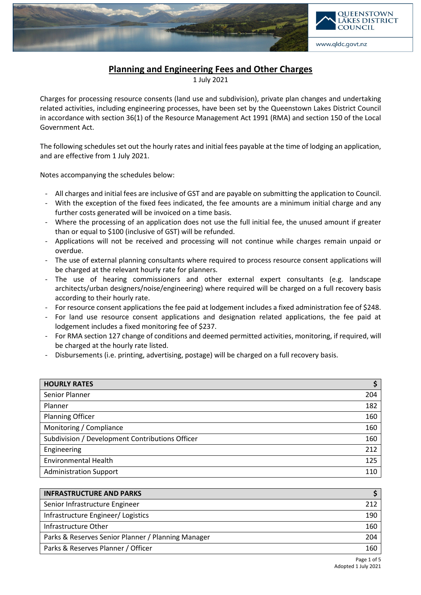

## Planning and Engineering Fees and Other Charges

1 July 2021

Charges for processing resource consents (land use and subdivision), private plan changes and undertaking related activities, including engineering processes, have been set by the Queenstown Lakes District Council in accordance with section 36(1) of the Resource Management Act 1991 (RMA) and section 150 of the Local Government Act.

The following schedules set out the hourly rates and initial fees payable at the time of lodging an application, and are effective from 1 July 2021.

Notes accompanying the schedules below:

- All charges and initial fees are inclusive of GST and are payable on submitting the application to Council.
- With the exception of the fixed fees indicated, the fee amounts are a minimum initial charge and any further costs generated will be invoiced on a time basis.
- Where the processing of an application does not use the full initial fee, the unused amount if greater than or equal to \$100 (inclusive of GST) will be refunded.
- Applications will not be received and processing will not continue while charges remain unpaid or overdue.
- The use of external planning consultants where required to process resource consent applications will be charged at the relevant hourly rate for planners.
- The use of hearing commissioners and other external expert consultants (e.g. landscape architects/urban designers/noise/engineering) where required will be charged on a full recovery basis according to their hourly rate.
- For resource consent applications the fee paid at lodgement includes a fixed administration fee of \$248.
- For land use resource consent applications and designation related applications, the fee paid at lodgement includes a fixed monitoring fee of \$237.
- For RMA section 127 change of conditions and deemed permitted activities, monitoring, if required, will be charged at the hourly rate listed.
- Disbursements (i.e. printing, advertising, postage) will be charged on a full recovery basis.

| <b>HOURLY RATES</b>                             | c   |
|-------------------------------------------------|-----|
| Senior Planner                                  | 204 |
| Planner                                         | 182 |
| <b>Planning Officer</b>                         | 160 |
| Monitoring / Compliance                         | 160 |
| Subdivision / Development Contributions Officer | 160 |
| Engineering                                     | 212 |
| <b>Environmental Health</b>                     | 125 |
| <b>Administration Support</b>                   | 110 |

| <b>INFRASTRUCTURE AND PARKS</b>                    |     |
|----------------------------------------------------|-----|
| Senior Infrastructure Engineer                     | 212 |
| Infrastructure Engineer/ Logistics                 | 190 |
| Infrastructure Other                               | 160 |
| Parks & Reserves Senior Planner / Planning Manager | 204 |
| Parks & Reserves Planner / Officer                 | 160 |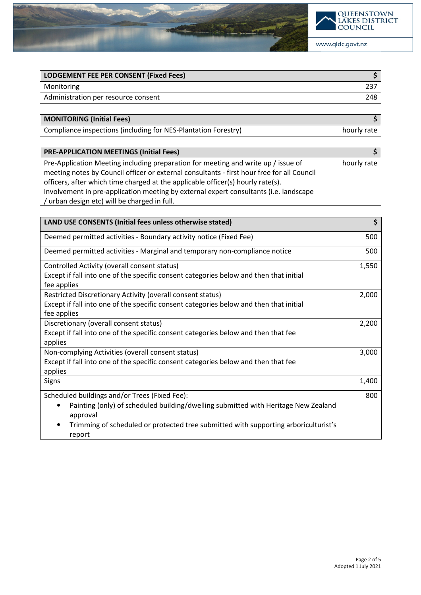

| LODGEMENT FEE PER CONSENT (Fixed Fees) |     |
|----------------------------------------|-----|
| Monitoring                             | 237 |
| Administration per resource consent    | 248 |
|                                        |     |

MONITORING (Initial Fees) \$

Compliance inspections (including for NES-Plantation Forestry) hourly rate

| <b>PRE-APPLICATION MEETINGS (Initial Fees)</b>                                             |             |
|--------------------------------------------------------------------------------------------|-------------|
| Pre-Application Meeting including preparation for meeting and write up / issue of          | hourly rate |
| meeting notes by Council officer or external consultants - first hour free for all Council |             |
| officers, after which time charged at the applicable officer(s) hourly rate(s).            |             |
| Involvement in pre-application meeting by external expert consultants (i.e. landscape      |             |
| / urban design etc) will be charged in full.                                               |             |

| LAND USE CONSENTS (Initial fees unless otherwise stated)                                              | \$    |
|-------------------------------------------------------------------------------------------------------|-------|
| Deemed permitted activities - Boundary activity notice (Fixed Fee)                                    | 500   |
| Deemed permitted activities - Marginal and temporary non-compliance notice                            | 500   |
| Controlled Activity (overall consent status)                                                          | 1,550 |
| Except if fall into one of the specific consent categories below and then that initial<br>fee applies |       |
| Restricted Discretionary Activity (overall consent status)                                            | 2,000 |
| Except if fall into one of the specific consent categories below and then that initial<br>fee applies |       |
| Discretionary (overall consent status)                                                                | 2,200 |
| Except if fall into one of the specific consent categories below and then that fee<br>applies         |       |
| Non-complying Activities (overall consent status)                                                     | 3,000 |
| Except if fall into one of the specific consent categories below and then that fee<br>applies         |       |
| Signs                                                                                                 | 1,400 |
| Scheduled buildings and/or Trees (Fixed Fee):                                                         | 800   |
| Painting (only) of scheduled building/dwelling submitted with Heritage New Zealand<br>approval        |       |
| Trimming of scheduled or protected tree submitted with supporting arboriculturist's<br>report         |       |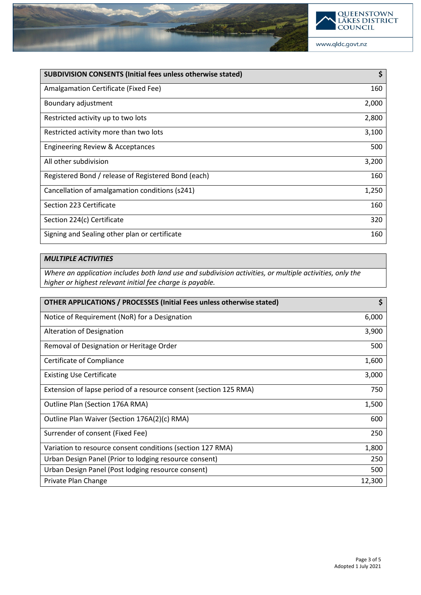

www.qldc.govt.nz

| <b>SUBDIVISION CONSENTS (Initial fees unless otherwise stated)</b> | \$    |
|--------------------------------------------------------------------|-------|
| Amalgamation Certificate (Fixed Fee)                               | 160   |
| Boundary adjustment                                                | 2,000 |
| Restricted activity up to two lots                                 | 2,800 |
| Restricted activity more than two lots                             | 3,100 |
| Engineering Review & Acceptances                                   | 500   |
| All other subdivision                                              | 3,200 |
| Registered Bond / release of Registered Bond (each)                | 160   |
| Cancellation of amalgamation conditions (s241)                     | 1,250 |
| Section 223 Certificate                                            | 160   |
| Section 224(c) Certificate                                         | 320   |
| Signing and Sealing other plan or certificate                      | 160   |

## MULTIPLE ACTIVITIES

Where an application includes both land use and subdivision activities, or multiple activities, only the higher or highest relevant initial fee charge is payable.

| <b>OTHER APPLICATIONS / PROCESSES (Initial Fees unless otherwise stated)</b> | \$     |
|------------------------------------------------------------------------------|--------|
| Notice of Requirement (NoR) for a Designation                                | 6,000  |
| Alteration of Designation                                                    | 3,900  |
| Removal of Designation or Heritage Order                                     | 500    |
| Certificate of Compliance                                                    | 1,600  |
| <b>Existing Use Certificate</b>                                              | 3,000  |
| Extension of lapse period of a resource consent (section 125 RMA)            | 750    |
| Outline Plan (Section 176A RMA)                                              | 1,500  |
| Outline Plan Waiver (Section 176A(2)(c) RMA)                                 | 600    |
| Surrender of consent (Fixed Fee)                                             | 250    |
| Variation to resource consent conditions (section 127 RMA)                   | 1,800  |
| Urban Design Panel (Prior to lodging resource consent)                       | 250    |
| Urban Design Panel (Post lodging resource consent)                           | 500    |
| Private Plan Change                                                          | 12,300 |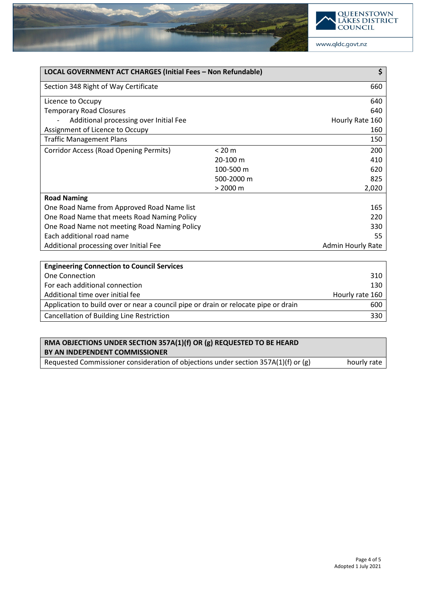

| LOCAL GOVERNMENT ACT CHARGES (Initial Fees - Non Refundable) |                    | \$                |
|--------------------------------------------------------------|--------------------|-------------------|
| Section 348 Right of Way Certificate                         |                    | 660               |
| Licence to Occupy                                            |                    | 640               |
| <b>Temporary Road Closures</b>                               |                    | 640               |
| Additional processing over Initial Fee                       |                    | Hourly Rate 160   |
| Assignment of Licence to Occupy                              |                    | 160               |
| <b>Traffic Management Plans</b>                              |                    | 150               |
| Corridor Access (Road Opening Permits)                       | < 20 m             | 200               |
|                                                              | 20-100 m           | 410               |
|                                                              | 100-500 m          | 620               |
|                                                              | 500-2000 m         | 825               |
|                                                              | $> 2000 \text{ m}$ | 2,020             |
| <b>Road Naming</b>                                           |                    |                   |
| One Road Name from Approved Road Name list                   |                    | 165               |
| One Road Name that meets Road Naming Policy                  |                    | 220               |
| One Road Name not meeting Road Naming Policy                 |                    | 330               |
| Each additional road name                                    |                    | 55                |
| Additional processing over Initial Fee                       |                    | Admin Hourly Rate |
|                                                              |                    |                   |
| <b>Engineering Connection to Council Services</b>            |                    |                   |
| One Connection                                               |                    | 310               |
| For each additional connection                               |                    | 130               |
| Additional time over initial fee                             |                    | Hourly rate 160   |

| Application to build over or near a council pipe or drain or relocate pipe or drain | 600 |
|-------------------------------------------------------------------------------------|-----|
| Cancellation of Building Line Restriction                                           | 330 |
|                                                                                     |     |
|                                                                                     |     |

| RMA OBJECTIONS UNDER SECTION 357A(1)(f) OR (g) REQUESTED TO BE HEARD               |             |
|------------------------------------------------------------------------------------|-------------|
| BY AN INDEPENDENT COMMISSIONER                                                     |             |
| Requested Commissioner consideration of objections under section 357A(1)(f) or (g) | hourly rate |